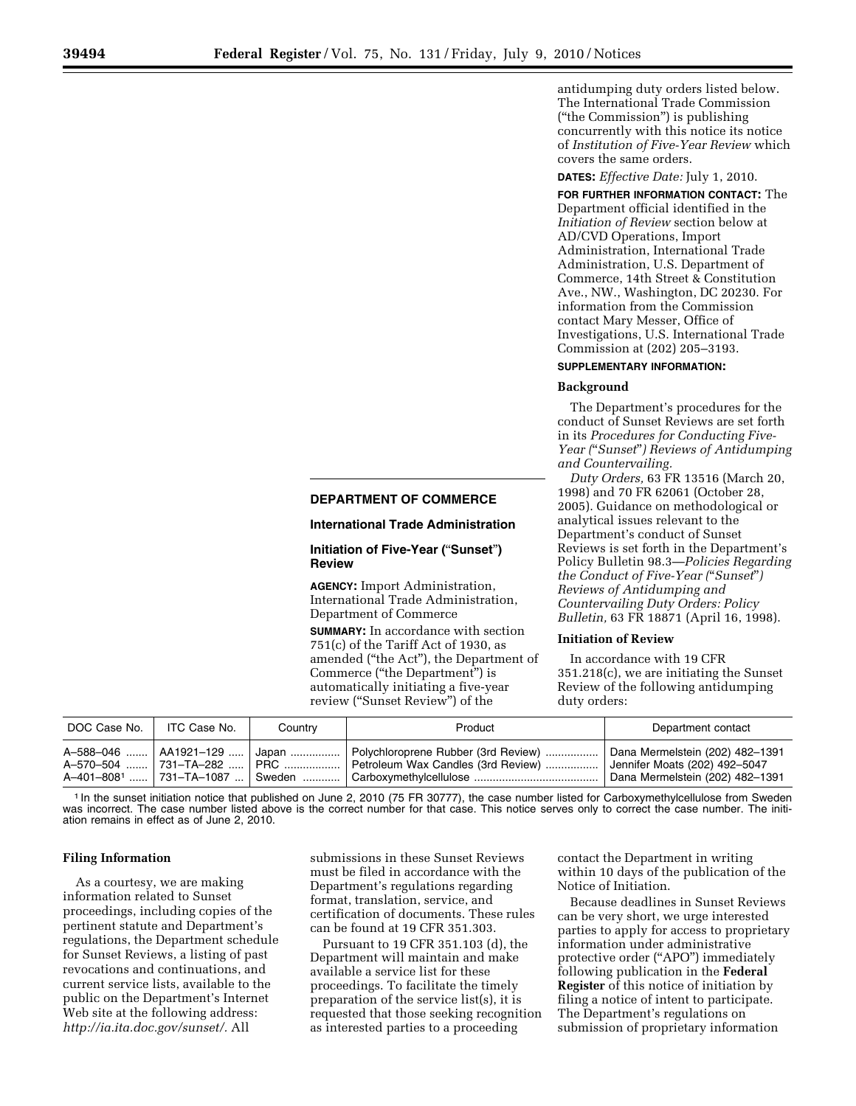# **DEPARTMENT OF COMMERCE**

#### **International Trade Administration**

## **Initiation of Five-Year (**''**Sunset**''**) Review**

**AGENCY:** Import Administration, International Trade Administration, Department of Commerce

**SUMMARY:** In accordance with section  $751(c)$  of the Tariff Act of 1930, as amended (''the Act''), the Department of Commerce (''the Department'') is automatically initiating a five-year review (''Sunset Review'') of the

antidumping duty orders listed below. The International Trade Commission (''the Commission'') is publishing concurrently with this notice its notice of *Institution of Five-Year Review* which covers the same orders.

### **DATES:** *Effective Date:* July 1, 2010.

**FOR FURTHER INFORMATION CONTACT:** The Department official identified in the *Initiation of Review* section below at AD/CVD Operations, Import Administration, International Trade Administration, U.S. Department of Commerce, 14th Street & Constitution Ave., NW., Washington, DC 20230. For information from the Commission contact Mary Messer, Office of Investigations, U.S. International Trade Commission at (202) 205–3193.

#### **SUPPLEMENTARY INFORMATION:**

#### **Background**

The Department's procedures for the conduct of Sunset Reviews are set forth in its *Procedures for Conducting Five-Year (*''*Sunset*''*) Reviews of Antidumping and Countervailing.* 

*Duty Orders,* 63 FR 13516 (March 20, 1998) and 70 FR 62061 (October 28, 2005). Guidance on methodological or analytical issues relevant to the Department's conduct of Sunset Reviews is set forth in the Department's Policy Bulletin 98.3—*Policies Regarding the Conduct of Five-Year (*''*Sunset*''*) Reviews of Antidumping and Countervailing Duty Orders: Policy Bulletin,* 63 FR 18871 (April 16, 1998).

### **Initiation of Review**

In accordance with 19 CFR 351.218(c), we are initiating the Sunset Review of the following antidumping duty orders:

| DOC Case No. | ITC Case No.                                        | Country                    | Product                                                                                                                                                   | Department contact                                                                                  |
|--------------|-----------------------------------------------------|----------------------------|-----------------------------------------------------------------------------------------------------------------------------------------------------------|-----------------------------------------------------------------------------------------------------|
|              | A-588-046    AA1921-129<br>A-570-504  731-TA-282  I | Japan   <br><b>FPRC   </b> | Polychloroprene Rubber (3rd Review)<br>Petroleum Wax Candles (3rd Review)<br>A–401–8081 …… 731–TA–1087 … Sweden ………… Carboxymethylcellulose ………………………………… | Dana Mermelstein (202) 482-1391<br>Jennifer Moats (202) 492-5047<br>Dana Mermelstein (202) 482-1391 |

<sup>1</sup> In the sunset initiation notice that published on June 2, 2010 (75 FR 30777), the case number listed for Carboxymethylcellulose from Sweden was incorrect. The case number listed above is the correct number for that case. This notice serves only to correct the case number. The initiation remains in effect as of June 2, 2010.

### **Filing Information**

As a courtesy, we are making information related to Sunset proceedings, including copies of the pertinent statute and Department's regulations, the Department schedule for Sunset Reviews, a listing of past revocations and continuations, and current service lists, available to the public on the Department's Internet Web site at the following address: *http://ia.ita.doc.gov/sunset/.* All

submissions in these Sunset Reviews must be filed in accordance with the Department's regulations regarding format, translation, service, and certification of documents. These rules can be found at 19 CFR 351.303.

Pursuant to 19 CFR 351.103 (d), the Department will maintain and make available a service list for these proceedings. To facilitate the timely preparation of the service list(s), it is requested that those seeking recognition as interested parties to a proceeding

contact the Department in writing within 10 days of the publication of the Notice of Initiation.

Because deadlines in Sunset Reviews can be very short, we urge interested parties to apply for access to proprietary information under administrative protective order (''APO'') immediately following publication in the **Federal Register** of this notice of initiation by filing a notice of intent to participate. The Department's regulations on submission of proprietary information